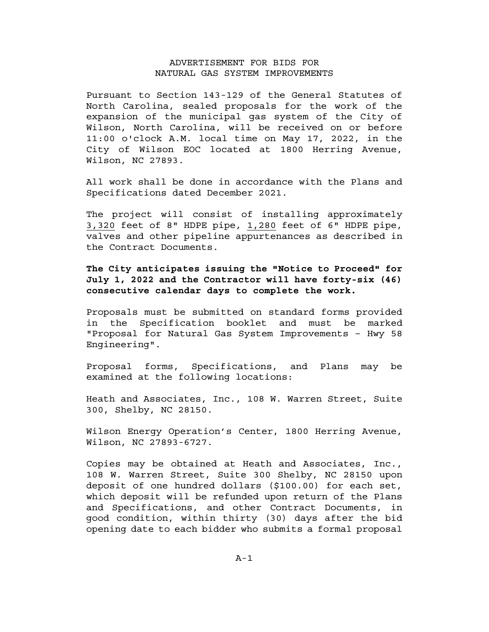## ADVERTISEMENT FOR BIDS FOR NATURAL GAS SYSTEM IMPROVEMENTS

Pursuant to Section 143-129 of the General Statutes of North Carolina, sealed proposals for the work of the expansion of the municipal gas system of the City of Wilson, North Carolina, will be received on or before 11:00 o'clock A.M. local time on May 17, 2022, in the City of Wilson EOC located at 1800 Herring Avenue, Wilson, NC 27893.

All work shall be done in accordance with the Plans and Specifications dated December 2021.

The project will consist of installing approximately 3,320 feet of 8" HDPE pipe, 1,280 feet of 6" HDPE pipe, valves and other pipeline appurtenances as described in the Contract Documents.

**The City anticipates issuing the "Notice to Proceed" for July 1, 2022 and the Contractor will have forty-six (46) consecutive calendar days to complete the work.**

Proposals must be submitted on standard forms provided in the Specification booklet and must be marked "Proposal for Natural Gas System Improvements – Hwy 58 Engineering".

Proposal forms, Specifications, and Plans may be examined at the following locations:

Heath and Associates, Inc., 108 W. Warren Street, Suite 300, Shelby, NC 28150.

Wilson Energy Operation's Center, 1800 Herring Avenue, Wilson, NC 27893-6727.

Copies may be obtained at Heath and Associates, Inc., 108 W. Warren Street, Suite 300 Shelby, NC 28150 upon deposit of one hundred dollars (\$100.00) for each set, which deposit will be refunded upon return of the Plans and Specifications, and other Contract Documents, in good condition, within thirty (30) days after the bid opening date to each bidder who submits a formal proposal